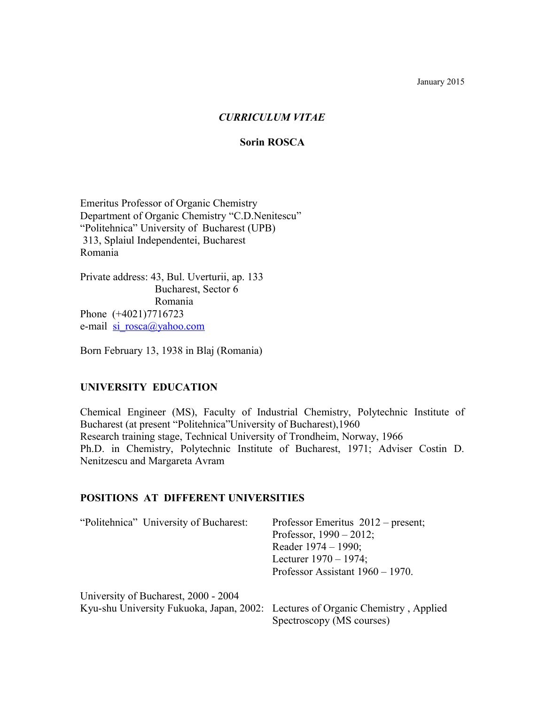## *CURRICULUM VITAE*

#### **Sorin ROSCA**

Emeritus Professor of Organic Chemistry Department of Organic Chemistry "C.D.Nenitescu" "Politehnica" University of Bucharest (UPB) 313, Splaiul Independentei, Bucharest Romania

Private address: 43, Bul. Uverturii, ap. 133 Bucharest, Sector 6 Romania Phone (+4021)7716723 e-mail si rosca@yahoo.com

Born February 13, 1938 in Blaj (Romania)

## **UNIVERSITY EDUCATION**

Chemical Engineer (MS), Faculty of Industrial Chemistry, Polytechnic Institute of Bucharest (at present "Politehnica"University of Bucharest),1960 Research training stage, Technical University of Trondheim, Norway, 1966 Ph.D. in Chemistry, Polytechnic Institute of Bucharest, 1971; Adviser Costin D. Nenitzescu and Margareta Avram

## **POSITIONS AT DIFFERENT UNIVERSITIES**

| "Politehnica" University of Bucharest:                                          | Professor Emeritus $2012$ – present;<br>Professor, $1990 - 2012$ ;<br>Reader $1974 - 1990$ ;<br>Lecturer $1970 - 1974$ ; |
|---------------------------------------------------------------------------------|--------------------------------------------------------------------------------------------------------------------------|
|                                                                                 | Professor Assistant $1960 - 1970$ .                                                                                      |
| University of Bucharest, 2000 - 2004                                            |                                                                                                                          |
| Kyu-shu University Fukuoka, Japan, 2002: Lectures of Organic Chemistry, Applied | Spectroscopy (MS courses)                                                                                                |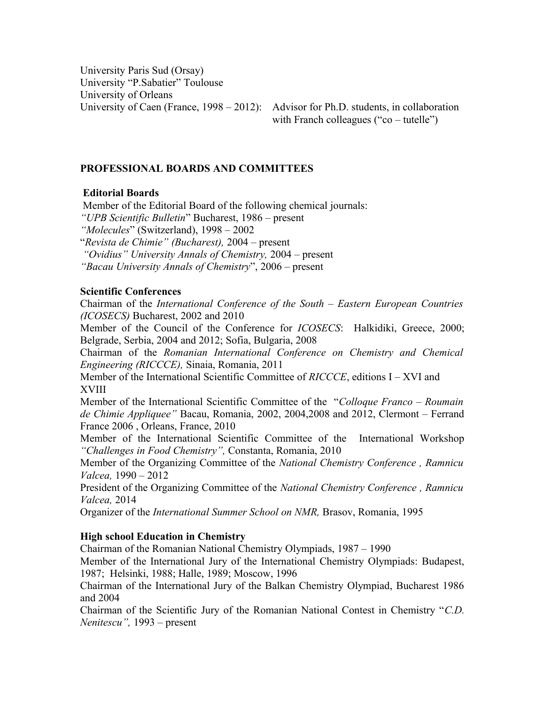University Paris Sud (Orsay) University "P.Sabatier" Toulouse University of Orleans

University of Caen (France, 1998 – 2012): Advisor for Ph.D. students, in collaboration with Franch colleagues ("co – tutelle")

## **PROFESSIONAL BOARDS AND COMMITTEES**

## **Editorial Boards**

Member of the Editorial Board of the following chemical journals:

*"UPB Scientific Bulletin*" Bucharest, 1986 – present

*"Molecules*" (Switzerland), 1998 – 2002

"*Revista de Chimie" (Bucharest),* 2004 – present

 *"Ovidius" University Annals of Chemistry,* 2004 – present

*"Bacau University Annals of Chemistry*", 2006 – present

## **Scientific Conferences**

Chairman of the *International Conference of the South – Eastern European Countries (ICOSECS)* Bucharest, 2002 and 2010

Member of the Council of the Conference for *ICOSECS*: Halkidiki, Greece, 2000; Belgrade, Serbia, 2004 and 2012; Sofia, Bulgaria, 2008

Chairman of the *Romanian International Conference on Chemistry and Chemical Engineering (RICCCE),* Sinaia, Romania, 2011

Member of the International Scientific Committee of *RICCCE*, editions I – XVI and XVIII

Member of the International Scientific Committee of the "*Colloque Franco – Roumain de Chimie Appliquee"* Bacau, Romania, 2002, 2004,2008 and 2012, Clermont – Ferrand France 2006 , Orleans, France, 2010

Member of the International Scientific Committee of the International Workshop *"Challenges in Food Chemistry",* Constanta, Romania, 2010

Member of the Organizing Committee of the *National Chemistry Conference , Ramnicu Valcea,* 1990 – 2012

President of the Organizing Committee of the *National Chemistry Conference , Ramnicu Valcea,* 2014

Organizer of the *International Summer School on NMR,* Brasov, Romania, 1995

## **High school Education in Chemistry**

Chairman of the Romanian National Chemistry Olympiads, 1987 – 1990

Member of the International Jury of the International Chemistry Olympiads: Budapest, 1987; Helsinki, 1988; Halle, 1989; Moscow, 1996

Chairman of the International Jury of the Balkan Chemistry Olympiad, Bucharest 1986 and 2004

Chairman of the Scientific Jury of the Romanian National Contest in Chemistry "*C.D. Nenitescu",* 1993 – present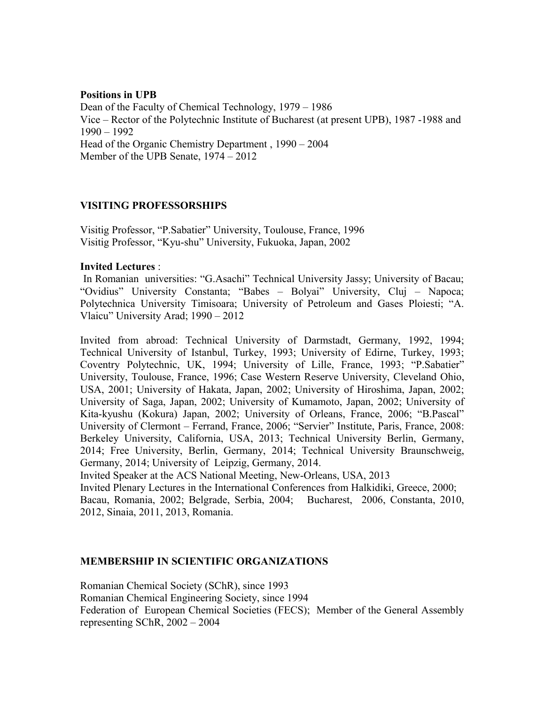## **Positions in UPB** Dean of the Faculty of Chemical Technology, 1979 – 1986 Vice – Rector of the Polytechnic Institute of Bucharest (at present UPB), 1987 -1988 and 1990 – 1992 Head of the Organic Chemistry Department , 1990 – 2004 Member of the UPB Senate, 1974 – 2012

# **VISITING PROFESSORSHIPS**

Visitig Professor, "P.Sabatier" University, Toulouse, France, 1996 Visitig Professor, "Kyu-shu" University, Fukuoka, Japan, 2002

## **Invited Lectures** :

 In Romanian universities: "G.Asachi" Technical University Jassy; University of Bacau; "Ovidius" University Constanta; "Babes – Bolyai" University, Cluj – Napoca; Polytechnica University Timisoara; University of Petroleum and Gases Ploiesti; "A. Vlaicu" University Arad; 1990 – 2012

Invited from abroad: Technical University of Darmstadt, Germany, 1992, 1994; Technical University of Istanbul, Turkey, 1993; University of Edirne, Turkey, 1993; Coventry Polytechnic, UK, 1994; University of Lille, France, 1993; "P.Sabatier" University, Toulouse, France, 1996; Case Western Reserve University, Cleveland Ohio, USA, 2001; University of Hakata, Japan, 2002; University of Hiroshima, Japan, 2002; University of Saga, Japan, 2002; University of Kumamoto, Japan, 2002; University of Kita-kyushu (Kokura) Japan, 2002; University of Orleans, France, 2006; "B.Pascal" University of Clermont – Ferrand, France, 2006; "Servier" Institute, Paris, France, 2008: Berkeley University, California, USA, 2013; Technical University Berlin, Germany, 2014; Free University, Berlin, Germany, 2014; Technical University Braunschweig, Germany, 2014; University of Leipzig, Germany, 2014.

Invited Speaker at the ACS National Meeting, New-Orleans, USA, 2013

Invited Plenary Lectures in the International Conferences from Halkidiki, Greece, 2000; Bacau, Romania, 2002; Belgrade, Serbia, 2004; Bucharest, 2006, Constanta, 2010, 2012, Sinaia, 2011, 2013, Romania.

# **MEMBERSHIP IN SCIENTIFIC ORGANIZATIONS**

Romanian Chemical Society (SChR), since 1993 Romanian Chemical Engineering Society, since 1994 Federation of European Chemical Societies (FECS); Member of the General Assembly representing SChR, 2002 – 2004